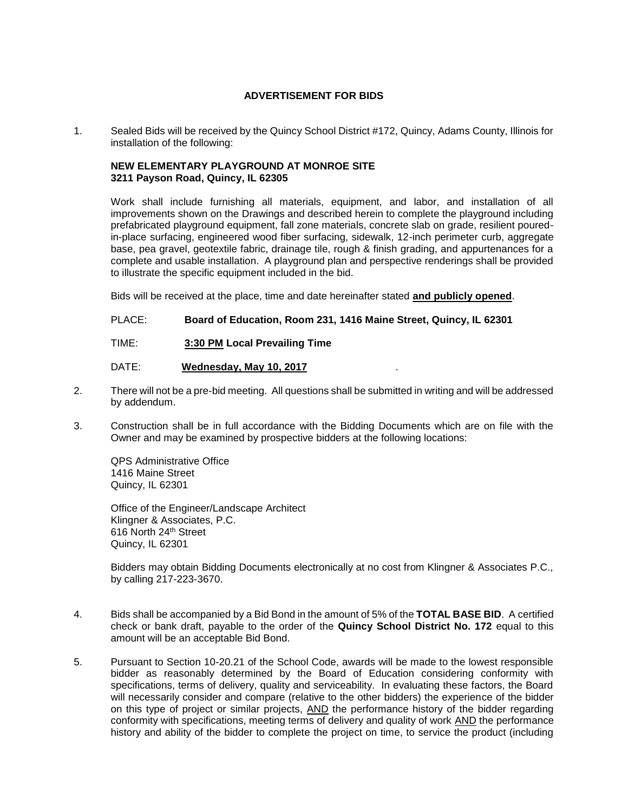## **ADVERTISEMENT FOR BIDS**

1. Sealed Bids will be received by the Quincy School District #172, Quincy, Adams County, Illinois for installation of the following:

## **NEW ELEMENTARY PLAYGROUND AT MONROE SITE 3211 Payson Road, Quincy, IL 62305**

Work shall include furnishing all materials, equipment, and labor, and installation of all improvements shown on the Drawings and described herein to complete the playground including prefabricated playground equipment, fall zone materials, concrete slab on grade, resilient pouredin-place surfacing, engineered wood fiber surfacing, sidewalk, 12-inch perimeter curb, aggregate base, pea gravel, geotextile fabric, drainage tile, rough & finish grading, and appurtenances for a complete and usable installation. A playground plan and perspective renderings shall be provided to illustrate the specific equipment included in the bid.

Bids will be received at the place, time and date hereinafter stated **and publicly opened**.

PLACE: **Board of Education, Room 231, 1416 Maine Street, Quincy, IL 62301**

TIME: **3:30 PM Local Prevailing Time**

DATE: **Wednesday, May 10, 2017**.

- 2. There will not be a pre-bid meeting. All questions shall be submitted in writing and will be addressed by addendum.
- 3. Construction shall be in full accordance with the Bidding Documents which are on file with the Owner and may be examined by prospective bidders at the following locations:

QPS Administrative Office 1416 Maine Street Quincy, IL 62301

Office of the Engineer/Landscape Architect Klingner & Associates, P.C. 616 North 24th Street Quincy, IL 62301

Bidders may obtain Bidding Documents electronically at no cost from Klingner & Associates P.C., by calling 217-223-3670.

- 4. Bids shall be accompanied by a Bid Bond in the amount of 5% of the **TOTAL BASE BID**. A certified check or bank draft, payable to the order of the **Quincy School District No. 172** equal to this amount will be an acceptable Bid Bond.
- 5. Pursuant to Section 10-20.21 of the School Code, awards will be made to the lowest responsible bidder as reasonably determined by the Board of Education considering conformity with specifications, terms of delivery, quality and serviceability. In evaluating these factors, the Board will necessarily consider and compare (relative to the other bidders) the experience of the bidder on this type of project or similar projects, AND the performance history of the bidder regarding conformity with specifications, meeting terms of delivery and quality of work AND the performance history and ability of the bidder to complete the project on time, to service the product (including